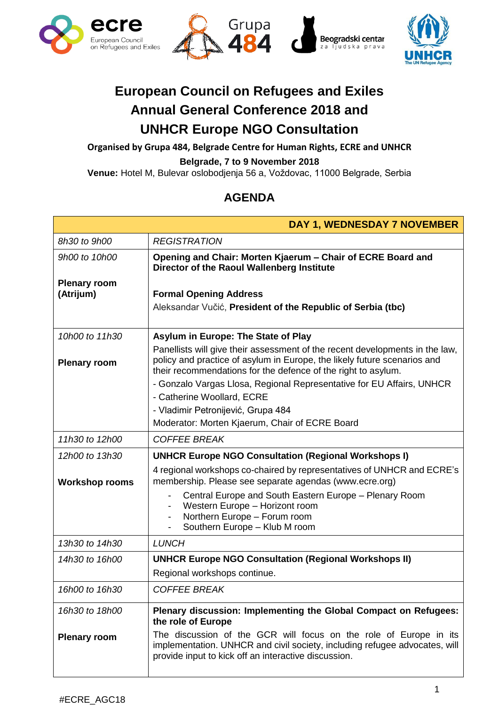





## **European Council on Refugees and Exiles Annual General Conference 2018 and UNHCR Europe NGO Consultation**

**Organised by Grupa 484, Belgrade Centre for Human Rights, ECRE and UNHCR Belgrade, 7 to 9 November 2018**

**Venue:** Hotel M, Bulevar oslobodjenja 56 a, Voždovac, 11000 Belgrade, Serbia

## **AGENDA**

| DAY 1, WEDNESDAY 7 NOVEMBER      |                                                                                                                                                                                                                                                                                                    |  |  |  |  |
|----------------------------------|----------------------------------------------------------------------------------------------------------------------------------------------------------------------------------------------------------------------------------------------------------------------------------------------------|--|--|--|--|
| 8h30 to 9h00                     | <b>REGISTRATION</b>                                                                                                                                                                                                                                                                                |  |  |  |  |
| 9h00 to 10h00                    | Opening and Chair: Morten Kjaerum - Chair of ECRE Board and<br>Director of the Raoul Wallenberg Institute                                                                                                                                                                                          |  |  |  |  |
| <b>Plenary room</b><br>(Atrijum) | <b>Formal Opening Address</b><br>Aleksandar Vučić, President of the Republic of Serbia (tbc)                                                                                                                                                                                                       |  |  |  |  |
| 10h00 to 11h30                   | Asylum in Europe: The State of Play                                                                                                                                                                                                                                                                |  |  |  |  |
| <b>Plenary room</b>              | Panellists will give their assessment of the recent developments in the law,<br>policy and practice of asylum in Europe, the likely future scenarios and<br>their recommendations for the defence of the right to asylum.<br>- Gonzalo Vargas Llosa, Regional Representative for EU Affairs, UNHCR |  |  |  |  |
|                                  | - Catherine Woollard, ECRE<br>- Vladimir Petronijević, Grupa 484                                                                                                                                                                                                                                   |  |  |  |  |
|                                  | Moderator: Morten Kjaerum, Chair of ECRE Board                                                                                                                                                                                                                                                     |  |  |  |  |
| 11h30 to 12h00                   | <b>COFFEE BREAK</b>                                                                                                                                                                                                                                                                                |  |  |  |  |
| 12h00 to 13h30                   | <b>UNHCR Europe NGO Consultation (Regional Workshops I)</b>                                                                                                                                                                                                                                        |  |  |  |  |
| <b>Workshop rooms</b>            | 4 regional workshops co-chaired by representatives of UNHCR and ECRE's<br>membership. Please see separate agendas (www.ecre.org)                                                                                                                                                                   |  |  |  |  |
|                                  | Central Europe and South Eastern Europe - Plenary Room<br>Western Europe - Horizont room<br>Northern Europe - Forum room<br>Southern Europe - Klub M room                                                                                                                                          |  |  |  |  |
| 13h30 to 14h30                   | <b>LUNCH</b>                                                                                                                                                                                                                                                                                       |  |  |  |  |
| 14h30 to 16h00                   | <b>UNHCR Europe NGO Consultation (Regional Workshops II)</b>                                                                                                                                                                                                                                       |  |  |  |  |
|                                  | Regional workshops continue.                                                                                                                                                                                                                                                                       |  |  |  |  |
| 16h00 to 16h30                   | <b>COFFEE BREAK</b>                                                                                                                                                                                                                                                                                |  |  |  |  |
| 16h30 to 18h00                   | Plenary discussion: Implementing the Global Compact on Refugees:<br>the role of Europe                                                                                                                                                                                                             |  |  |  |  |
| <b>Plenary room</b>              | The discussion of the GCR will focus on the role of Europe in its<br>implementation. UNHCR and civil society, including refugee advocates, will<br>provide input to kick off an interactive discussion.                                                                                            |  |  |  |  |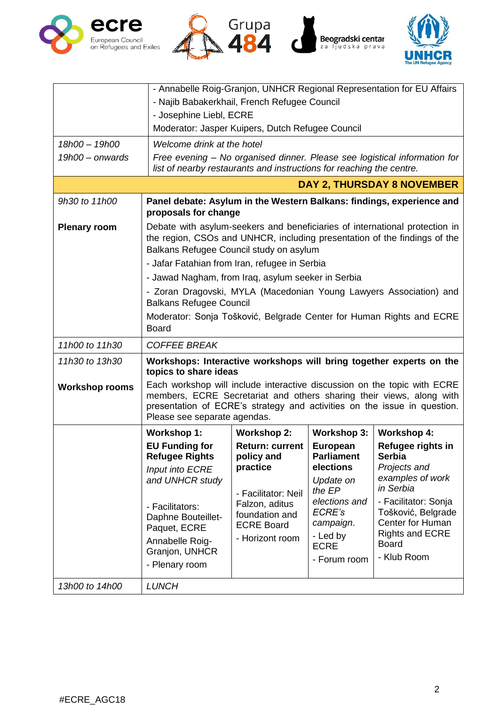





|                                   | - Annabelle Roig-Granjon, UNHCR Regional Representation for EU Affairs                                                                                                                                                                                       |                                     |                                |                                        |  |  |
|-----------------------------------|--------------------------------------------------------------------------------------------------------------------------------------------------------------------------------------------------------------------------------------------------------------|-------------------------------------|--------------------------------|----------------------------------------|--|--|
|                                   | - Najib Babakerkhail, French Refugee Council                                                                                                                                                                                                                 |                                     |                                |                                        |  |  |
|                                   | - Josephine Liebl, ECRE                                                                                                                                                                                                                                      |                                     |                                |                                        |  |  |
|                                   | Moderator: Jasper Kuipers, Dutch Refugee Council                                                                                                                                                                                                             |                                     |                                |                                        |  |  |
| 18h00 - 19h00                     | Welcome drink at the hotel                                                                                                                                                                                                                                   |                                     |                                |                                        |  |  |
| $19h00 -$ onwards                 | Free evening - No organised dinner. Please see logistical information for<br>list of nearby restaurants and instructions for reaching the centre.                                                                                                            |                                     |                                |                                        |  |  |
| <b>DAY 2, THURSDAY 8 NOVEMBER</b> |                                                                                                                                                                                                                                                              |                                     |                                |                                        |  |  |
| 9h30 to 11h00                     | Panel debate: Asylum in the Western Balkans: findings, experience and                                                                                                                                                                                        |                                     |                                |                                        |  |  |
|                                   | proposals for change                                                                                                                                                                                                                                         |                                     |                                |                                        |  |  |
| <b>Plenary room</b>               | Debate with asylum-seekers and beneficiaries of international protection in                                                                                                                                                                                  |                                     |                                |                                        |  |  |
|                                   | the region, CSOs and UNHCR, including presentation of the findings of the<br>Balkans Refugee Council study on asylum                                                                                                                                         |                                     |                                |                                        |  |  |
|                                   | - Jafar Fatahian from Iran, refugee in Serbia                                                                                                                                                                                                                |                                     |                                |                                        |  |  |
|                                   | - Jawad Nagham, from Iraq, asylum seeker in Serbia                                                                                                                                                                                                           |                                     |                                |                                        |  |  |
|                                   | - Zoran Dragovski, MYLA (Macedonian Young Lawyers Association) and<br><b>Balkans Refugee Council</b>                                                                                                                                                         |                                     |                                |                                        |  |  |
|                                   | Moderator: Sonja Tošković, Belgrade Center for Human Rights and ECRE<br><b>Board</b>                                                                                                                                                                         |                                     |                                |                                        |  |  |
| 11h00 to 11h30                    | <b>COFFEE BREAK</b>                                                                                                                                                                                                                                          |                                     |                                |                                        |  |  |
| 11h30 to 13h30                    | Workshops: Interactive workshops will bring together experts on the<br>topics to share ideas                                                                                                                                                                 |                                     |                                |                                        |  |  |
| <b>Workshop rooms</b>             | Each workshop will include interactive discussion on the topic with ECRE<br>members, ECRE Secretariat and others sharing their views, along with<br>presentation of ECRE's strategy and activities on the issue in question.<br>Please see separate agendas. |                                     |                                |                                        |  |  |
|                                   | Workshop 1:                                                                                                                                                                                                                                                  | <b>Workshop 2:</b>                  | <b>Workshop 3:</b>             | <b>Workshop 4:</b>                     |  |  |
|                                   | <b>EU Funding for</b>                                                                                                                                                                                                                                        | <b>Return: current</b>              | <b>European</b>                | Refugee rights in                      |  |  |
|                                   | <b>Refugee Rights</b>                                                                                                                                                                                                                                        | policy and<br>practice              | <b>Parliament</b><br>elections | <b>Serbia</b>                          |  |  |
|                                   | Input into ECRE<br>and UNHCR study                                                                                                                                                                                                                           | - Facilitator: Neil                 | Update on                      | Projects and<br>examples of work       |  |  |
|                                   |                                                                                                                                                                                                                                                              |                                     | the EP                         | in Serbia                              |  |  |
|                                   | - Facilitators:                                                                                                                                                                                                                                              | Falzon, aditus                      | elections and                  | - Facilitator: Sonja                   |  |  |
|                                   | Daphne Bouteillet-                                                                                                                                                                                                                                           | foundation and<br><b>ECRE Board</b> | ECRE's<br>campaign.            | Tošković, Belgrade<br>Center for Human |  |  |
|                                   | Paquet, ECRE                                                                                                                                                                                                                                                 | - Horizont room                     | - Led by                       | <b>Rights and ECRE</b>                 |  |  |
|                                   | Annabelle Roig-<br>Granjon, UNHCR                                                                                                                                                                                                                            |                                     | <b>ECRE</b>                    | <b>Board</b>                           |  |  |
|                                   | - Plenary room                                                                                                                                                                                                                                               |                                     | - Forum room                   | - Klub Room                            |  |  |
| 13h00 to 14h00                    | <b>LUNCH</b>                                                                                                                                                                                                                                                 |                                     |                                |                                        |  |  |